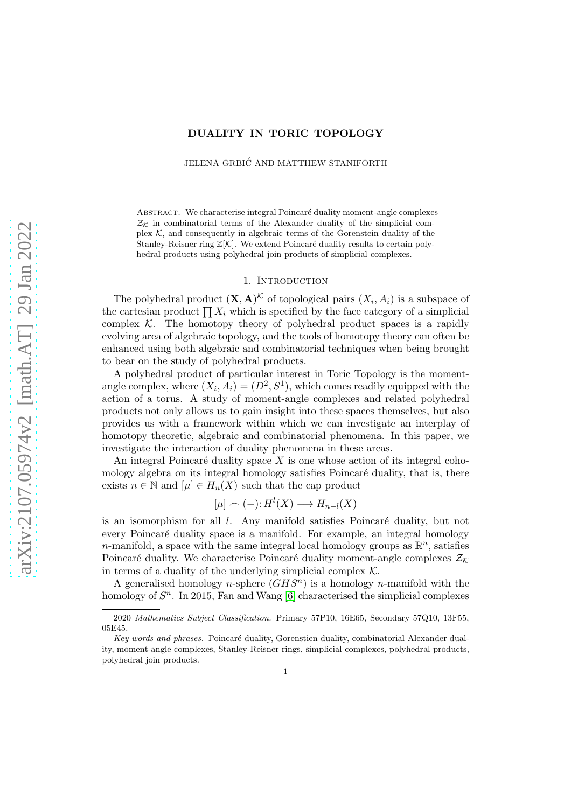## DUALITY IN TORIC TOPOLOGY

JELENA GRBIĆ AND MATTHEW STANIFORTH

ABSTRACT. We characterise integral Poincaré duality moment-angle complexes  $\mathcal{Z}_\mathcal{K}$  in combinatorial terms of the Alexander duality of the simplicial complex  $K$ , and consequently in algebraic terms of the Gorenstein duality of the Stanley-Reisner ring  $\mathbb{Z}[\mathcal{K}]$ . We extend Poincaré duality results to certain polyhedral products using polyhedral join products of simplicial complexes.

## 1. INTRODUCTION

The polyhedral product  $(X, A)^{\mathcal{K}}$  of topological pairs  $(X_i, A_i)$  is a subspace of the cartesian product  $\prod X_i$  which is specified by the face category of a simplicial complex  $K$ . The homotopy theory of polyhedral product spaces is a rapidly evolving area of algebraic topology, and the tools of homotopy theory can often be enhanced using both algebraic and combinatorial techniques when being brought to bear on the study of polyhedral products.

A polyhedral product of particular interest in Toric Topology is the momentangle complex, where  $(X_i, A_i) = (D^2, S^1)$ , which comes readily equipped with the action of a torus. A study of moment-angle complexes and related polyhedral products not only allows us to gain insight into these spaces themselves, but also provides us with a framework within which we can investigate an interplay of homotopy theoretic, algebraic and combinatorial phenomena. In this paper, we investigate the interaction of duality phenomena in these areas.

An integral Poincaré duality space  $X$  is one whose action of its integral cohomology algebra on its integral homology satisfies Poincaré duality, that is, there exists  $n \in \mathbb{N}$  and  $[\mu] \in H_n(X)$  such that the cap product

$$
[\mu] \frown (-) : H^l(X) \longrightarrow H_{n-l}(X)
$$

is an isomorphism for all  $l$ . Any manifold satisfies Poincaré duality, but not every Poincaré duality space is a manifold. For example, an integral homology n-manifold, a space with the same integral local homology groups as  $\mathbb{R}^n$ , satisfies Poincaré duality. We characterise Poincaré duality moment-angle complexes  $\mathcal{Z}_\mathcal{K}$ in terms of a duality of the underlying simplicial complex  $K$ .

A generalised homology *n*-sphere  $(GHS<sup>n</sup>)$  is a homology *n*-manifold with the homology of  $S<sup>n</sup>$ . In 2015, Fan and Wang [\[6\]](#page-9-0) characterised the simplicial complexes

<sup>2020</sup> *Mathematics Subject Classification.* Primary 57P10, 16E65, Secondary 57Q10, 13F55, 05E45.

*Key words and phrases.* Poincaré duality, Gorenstien duality, combinatorial Alexander duality, moment-angle complexes, Stanley-Reisner rings, simplicial complexes, polyhedral products, polyhedral join products.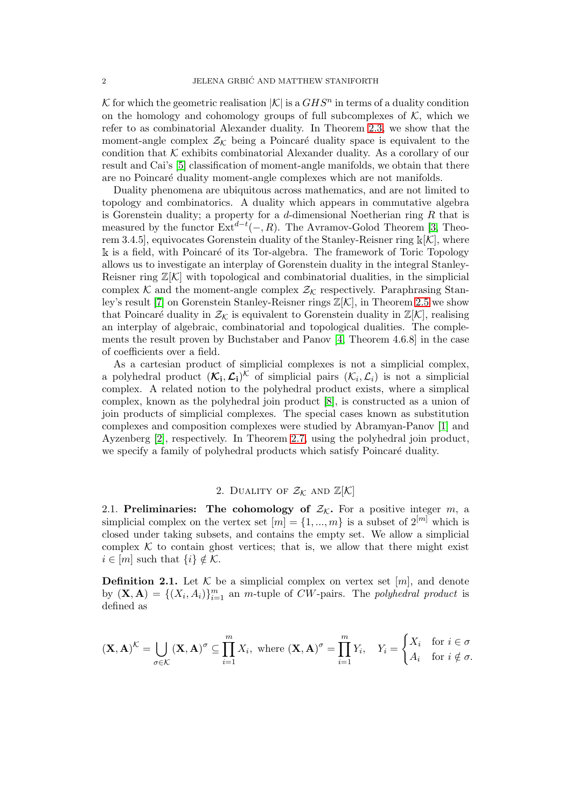K for which the geometric realisation  $|\mathcal{K}|$  is a  $GHS<sup>n</sup>$  in terms of a duality condition on the homology and cohomology groups of full subcomplexes of  $K$ , which we refer to as combinatorial Alexander duality. In Theorem [2.3,](#page-4-0) we show that the moment-angle complex  $\mathcal{Z}_\mathcal{K}$  being a Poincaré duality space is equivalent to the condition that  $K$  exhibits combinatorial Alexander duality. As a corollary of our result and Cai's [\[5\]](#page-9-1) classification of moment-angle manifolds, we obtain that there are no Poincaré duality moment-angle complexes which are not manifolds.

Duality phenomena are ubiquitous across mathematics, and are not limited to topology and combinatorics. A duality which appears in commutative algebra is Gorenstein duality; a property for a  $d$ -dimensional Noetherian ring  $R$  that is measured by the functor  $\text{Ext}^{d-t}(-, R)$ . The Avramov-Golod Theorem [\[3,](#page-9-2) Theorem 3.4.5], equivocates Gorenstein duality of the Stanley-Reisner ring  $\mathbb{k}[K]$ , where  $\Bbbk$  is a field, with Poincaré of its Tor-algebra. The framework of Toric Topology allows us to investigate an interplay of Gorenstein duality in the integral Stanley-Reisner ring  $\mathbb{Z}[\mathcal{K}]$  with topological and combinatorial dualities, in the simplicial complex K and the moment-angle complex  $\mathcal{Z}_k$  respectively. Paraphrasing Stanley's result [\[7\]](#page-9-3) on Gorenstein Stanley-Reisner rings Z[K], in Theorem [2.5](#page-7-0) we show that Poincaré duality in  $\mathcal{Z}_k$  is equivalent to Gorenstein duality in  $\mathbb{Z}[\mathcal{K}]$ , realising an interplay of algebraic, combinatorial and topological dualities. The complements the result proven by Buchstaber and Panov [\[4,](#page-9-4) Theorem 4.6.8] in the case of coefficients over a field.

As a cartesian product of simplicial complexes is not a simplicial complex, a polyhedral product  $(\mathcal{K}_i, \mathcal{L}_i)^{\mathcal{K}}$  of simplicial pairs  $(\mathcal{K}_i, \mathcal{L}_i)$  is not a simplicial complex. A related notion to the polyhedral product exists, where a simplical complex, known as the polyhedral join product [\[8\]](#page-9-5), is constructed as a union of join products of simplicial complexes. The special cases known as substitution complexes and composition complexes were studied by Abramyan-Panov [\[1\]](#page-9-6) and Ayzenberg [\[2\]](#page-9-7), respectively. In Theorem [2.7,](#page-8-0) using the polyhedral join product, we specify a family of polyhedral products which satisfy Poincaré duality.

## 2. DUALITY OF  $\mathcal{Z}_\mathcal{K}$  AND  $\mathbb{Z}[\mathcal{K}]$

2.1. Preliminaries: The cohomology of  $\mathcal{Z}_K$ . For a positive integer m, a simplicial complex on the vertex set  $[m] = \{1, ..., m\}$  is a subset of  $2^{[m]}$  which is closed under taking subsets, and contains the empty set. We allow a simplicial complex  $K$  to contain ghost vertices; that is, we allow that there might exist  $i \in [m]$  such that  $\{i\} \notin \mathcal{K}$ .

**Definition 2.1.** Let K be a simplicial complex on vertex set  $[m]$ , and denote by  $(X, A) = \{(X_i, A_i)\}_{i=1}^m$  an m-tuple of CW-pairs. The polyhedral product is defined as

$$
(\mathbf{X}, \mathbf{A})^{\mathcal{K}} = \bigcup_{\sigma \in \mathcal{K}} (\mathbf{X}, \mathbf{A})^{\sigma} \subseteq \prod_{i=1}^{m} X_i, \text{ where } (\mathbf{X}, \mathbf{A})^{\sigma} = \prod_{i=1}^{m} Y_i, \quad Y_i = \begin{cases} X_i & \text{for } i \in \sigma \\ A_i & \text{for } i \notin \sigma. \end{cases}
$$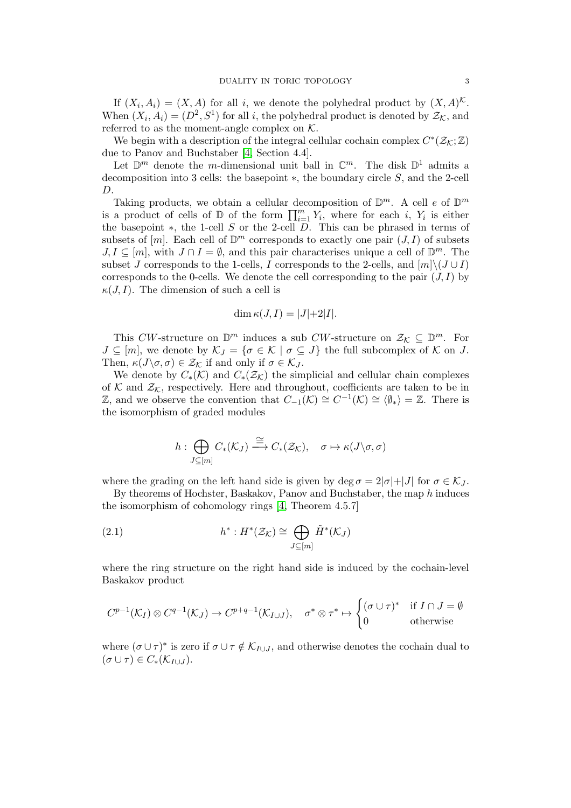If  $(X_i, A_i) = (X, A)$  for all i, we denote the polyhedral product by  $(X, A)^{\mathcal{K}}$ . When  $(X_i, A_i) = (D^2, S^1)$  for all i, the polyhedral product is denoted by  $\mathcal{Z}_k$ , and referred to as the moment-angle complex on  $K$ .

We begin with a description of the integral cellular cochain complex  $C^*(\mathcal{Z}_{\mathcal{K}};\mathbb{Z})$ due to Panov and Buchstaber [\[4,](#page-9-4) Section 4.4].

Let  $\mathbb{D}^m$  denote the *m*-dimensional unit ball in  $\mathbb{C}^m$ . The disk  $\mathbb{D}^1$  admits a decomposition into 3 cells: the basepoint ∗, the boundary circle S, and the 2-cell D.

Taking products, we obtain a cellular decomposition of  $\mathbb{D}^m$ . A cell e of  $\mathbb{D}^m$ is a product of cells of  $D$  of the form  $\prod_{i=1}^m Y_i$ , where for each i,  $Y_i$  is either the basepoint  $\ast$ , the 1-cell S or the 2-cell D. This can be phrased in terms of subsets of  $[m]$ . Each cell of  $\mathbb{D}^m$  corresponds to exactly one pair  $(J, I)$  of subsets  $J, I \subseteq [m]$ , with  $J \cap I = \emptyset$ , and this pair characterises unique a cell of  $\mathbb{D}^m$ . The subset J corresponds to the 1-cells, I corresponds to the 2-cells, and  $[m]\setminus (J\cup I)$ corresponds to the 0-cells. We denote the cell corresponding to the pair  $(J, I)$  by  $\kappa(J, I)$ . The dimension of such a cell is

$$
\dim \kappa(J,I) = |J|+2|I|.
$$

This CW-structure on  $\mathbb{D}^m$  induces a sub CW-structure on  $\mathcal{Z}_\mathcal{K} \subseteq \mathbb{D}^m$ . For  $J \subseteq [m]$ , we denote by  $\mathcal{K}_J = \{ \sigma \in \mathcal{K} \mid \sigma \subseteq J \}$  the full subcomplex of  $\mathcal K$  on  $J$ . Then,  $\kappa(J\backslash \sigma,\sigma) \in \mathcal{Z}_{\mathcal{K}}$  if and only if  $\sigma \in \mathcal{K}_J$ .

We denote by  $C_*(\mathcal{K})$  and  $C_*(\mathcal{Z}_{\mathcal{K}})$  the simplicial and cellular chain complexes of K and  $\mathcal{Z}_\mathcal{K}$ , respectively. Here and throughout, coefficients are taken to be in Z, and we observe the convention that  $C_{-1}(\mathcal{K}) \cong C^{-1}(\mathcal{K}) \cong \langle \emptyset_* \rangle = \mathbb{Z}$ . There is the isomorphism of graded modules

<span id="page-2-0"></span>
$$
h: \bigoplus_{J \subseteq [m]} C_*(\mathcal{K}_J) \stackrel{\cong}{\longrightarrow} C_*(\mathcal{Z}_\mathcal{K}), \quad \sigma \mapsto \kappa(J \setminus \sigma, \sigma)
$$

where the grading on the left hand side is given by deg  $\sigma = 2|\sigma|+|J|$  for  $\sigma \in \mathcal{K}_J$ .

By theorems of Hochster, Baskakov, Panov and Buchstaber, the map h induces the isomorphism of cohomology rings [\[4,](#page-9-4) Theorem 4.5.7]

(2.1) 
$$
h^*: H^*(\mathcal{Z}_\mathcal{K}) \cong \bigoplus_{J \subseteq [m]} \tilde{H}^*(\mathcal{K}_J)
$$

where the ring structure on the right hand side is induced by the cochain-level Baskakov product

$$
C^{p-1}(\mathcal{K}_I) \otimes C^{q-1}(\mathcal{K}_J) \to C^{p+q-1}(\mathcal{K}_{I \cup J}), \quad \sigma^* \otimes \tau^* \mapsto \begin{cases} (\sigma \cup \tau)^* & \text{if } I \cap J = \emptyset \\ 0 & \text{otherwise} \end{cases}
$$

where  $(\sigma \cup \tau)^*$  is zero if  $\sigma \cup \tau \notin \mathcal{K}_{I \cup J}$ , and otherwise denotes the cochain dual to  $(\sigma \cup \tau) \in C_*(\mathcal{K}_{I \cup J}).$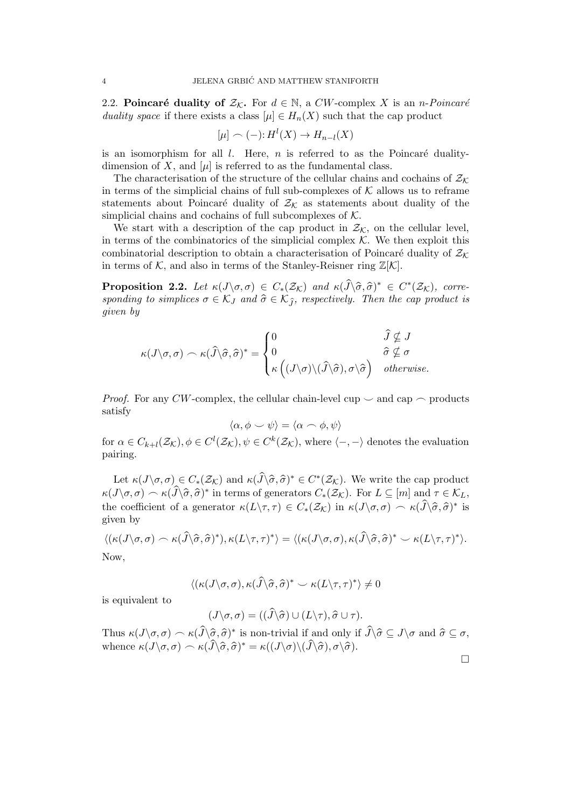2.2. Poincaré duality of  $\mathcal{Z}_K$ . For  $d \in \mathbb{N}$ , a CW-complex X is an *n-Poincaré* duality space if there exists a class  $[\mu] \in H_n(X)$  such that the cap product

$$
[\mu] \frown (-) : H^l(X) \to H_{n-l}(X)
$$

is an isomorphism for all  $l$ . Here,  $n$  is referred to as the Poincaré dualitydimension of X, and  $[\mu]$  is referred to as the fundamental class.

The characterisation of the structure of the cellular chains and cochains of  $\mathcal{Z}_\mathcal{K}$ in terms of the simplicial chains of full sub-complexes of  $K$  allows us to reframe statements about Poincaré duality of  $\mathcal{Z}_\mathcal{K}$  as statements about duality of the simplicial chains and cochains of full subcomplexes of  $K$ .

We start with a description of the cap product in  $\mathcal{Z}_k$ , on the cellular level, in terms of the combinatorics of the simplicial complex  $K$ . We then exploit this combinatorial description to obtain a characterisation of Poincaré duality of  $\mathcal{Z}_\mathcal{K}$ in terms of K, and also in terms of the Stanley-Reisner ring  $\mathbb{Z}[\mathcal{K}]$ .

<span id="page-3-0"></span>**Proposition 2.2.** Let  $\kappa(J\setminus\sigma,\sigma) \in C_*(\mathcal{Z}_\mathcal{K})$  and  $\kappa(\widehat{J}\setminus\widehat{\sigma},\widehat{\sigma})^* \in C^*(\mathcal{Z}_\mathcal{K})$ , corresponding to simplices  $\sigma \in \mathcal{K}_J$  and  $\hat{\sigma} \in \mathcal{K}_{\hat{\tau}}$ , respectively. Then the cap product is given by

$$
\kappa(J\backslash \sigma,\sigma) \frown \kappa(\widehat{J}\backslash \widehat{\sigma},\widehat{\sigma})^* = \begin{cases} 0 & \widehat{J} \nsubseteq J \\ 0 & \widehat{\sigma} \nsubseteq \sigma \\ \kappa((J\backslash \sigma)\backslash(\widehat{J}\backslash\widehat{\sigma}),\sigma\backslash\widehat{\sigma}) & otherwise. \end{cases}
$$

*Proof.* For any CW-complex, the cellular chain-level cup  $\sim$  and cap  $\sim$  products satisfy

$$
\langle \alpha, \phi \smile \psi \rangle = \langle \alpha \frown \phi, \psi \rangle
$$

for  $\alpha \in C_{k+l}(\mathcal{Z}_{\mathcal{K}}), \phi \in C^l(\mathcal{Z}_{\mathcal{K}}), \psi \in C^k(\mathcal{Z}_{\mathcal{K}})$ , where  $\langle -, - \rangle$  denotes the evaluation pairing.

Let  $\kappa(J\backslash \sigma,\sigma) \in C_*(\mathcal{Z}_\mathcal{K})$  and  $\kappa(\widehat{J}\backslash \widehat{\sigma},\widehat{\sigma})^* \in C^*(\mathcal{Z}_\mathcal{K})$ . We write the cap product  $\kappa(J\backslash \sigma,\sigma)\frown \kappa(\widehat{J}\backslash \widehat{\sigma},\widehat{\sigma})^*$  in terms of generators  $C_*(\mathcal{Z}_\mathcal{K})$ . For  $L\subseteq [m]$  and  $\tau\in \mathcal{K}_L$ , the coefficient of a generator  $\kappa(L\setminus\tau,\tau) \in C_*(\mathcal{Z}_\mathcal{K})$  in  $\kappa(J\setminus\sigma,\sigma) \frown \kappa(\widehat{J}\setminus\widehat{\sigma},\widehat{\sigma})^*$  is given by

$$
\langle (\kappa(J\backslash \sigma,\sigma) \frown \kappa(\widehat{J}\backslash \widehat{\sigma},\widehat{\sigma})^*), \kappa(L\backslash \tau,\tau)^* \rangle = \langle (\kappa(J\backslash \sigma,\sigma),\kappa(\widehat{J}\backslash \widehat{\sigma},\widehat{\sigma})^* \frown \kappa(L\backslash \tau,\tau)^* \rangle.
$$

Now,

$$
\langle (\kappa(J\backslash \sigma,\sigma),\kappa(\widehat{J}\backslash \widehat{\sigma},\widehat{\sigma})^* \smile \kappa(L\backslash \tau,\tau)^* \rangle \neq 0
$$

is equivalent to

$$
(J\backslash \sigma, \sigma) = ((\hat{J}\backslash \hat{\sigma}) \cup (L\backslash \tau), \hat{\sigma} \cup \tau).
$$

Thus  $\kappa(J\setminus \sigma,\sigma) \frown \kappa(\widehat{J}\setminus \widehat{\sigma},\widehat{\sigma})^*$  is non-trivial if and only if  $\widehat{J}\setminus \widehat{\sigma} \subseteq J\setminus \sigma$  and  $\widehat{\sigma} \subseteq \sigma$ , whence  $\kappa(J\backslash \sigma,\sigma) \frown \kappa(\widehat{J}\backslash \widehat{\sigma},\widehat{\sigma})^* = \kappa((J\backslash \sigma)\backslash(\widehat{J}\backslash\widehat{\sigma}),\sigma\backslash\widehat{\sigma}).$ 

 $\Box$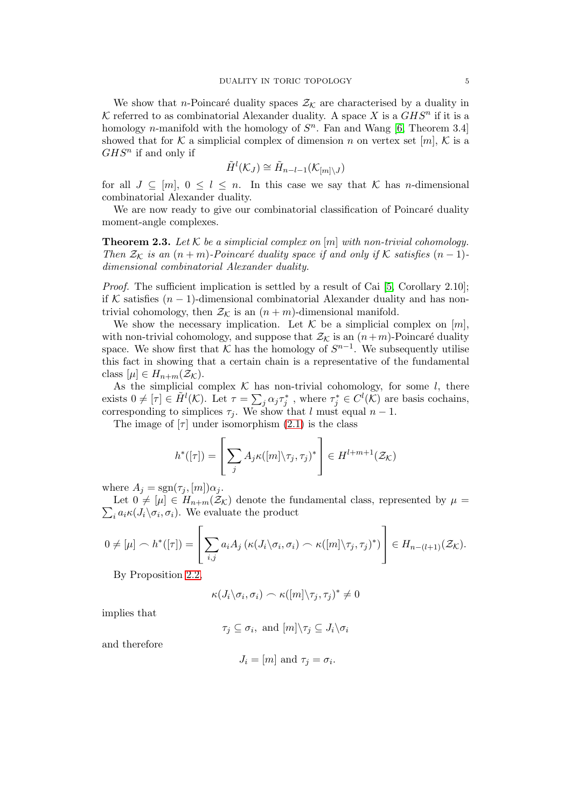We show that *n*-Poincaré duality spaces  $\mathcal{Z}_K$  are characterised by a duality in K referred to as combinatorial Alexander duality. A space X is a  $GHS<sup>n</sup>$  if it is a homology *n*-manifold with the homology of  $S<sup>n</sup>$ . Fan and Wang [\[6,](#page-9-0) Theorem 3.4] showed that for K a simplicial complex of dimension n on vertex set  $[m], K$  is a  $GHS<sup>n</sup>$  if and only if

$$
\tilde{H}^l(\mathcal{K}_J)\cong\tilde{H}_{n-l-1}(\mathcal{K}_{[m]\setminus J})
$$

for all  $J \subseteq [m], 0 \leq l \leq n$ . In this case we say that K has *n*-dimensional combinatorial Alexander duality.

We are now ready to give our combinatorial classification of Poincaré duality moment-angle complexes.

<span id="page-4-0"></span>**Theorem 2.3.** Let K be a simplicial complex on  $[m]$  with non-trivial cohomology. Then  $\mathcal{Z}_\mathcal{K}$  is an  $(n+m)$ -Poincaré duality space if and only if K satisfies  $(n-1)$ dimensional combinatorial Alexander duality.

Proof. The sufficient implication is settled by a result of Cai [\[5,](#page-9-1) Corollary 2.10]; if K satisfies  $(n - 1)$ -dimensional combinatorial Alexander duality and has nontrivial cohomology, then  $\mathcal{Z}_\mathcal{K}$  is an  $(n+m)$ -dimensional manifold.

We show the necessary implication. Let  $K$  be a simplicial complex on  $[m]$ , with non-trivial cohomology, and suppose that  $\mathcal{Z}_\mathcal{K}$  is an  $(n+m)$ -Poincaré duality space. We show first that  $K$  has the homology of  $S^{n-1}$ . We subsequently utilise this fact in showing that a certain chain is a representative of the fundamental class  $[\mu] \in H_{n+m}(\mathcal{Z}_\mathcal{K}).$ 

As the simplicial complex  $K$  has non-trivial cohomology, for some  $l$ , there exists  $0 \neq [\tau] \in \tilde{H}^{l}(\mathcal{K})$ . Let  $\tau = \sum_{j} \alpha_{j} \tau_{j}^{*}$ , where  $\tau_{j}^{*} \in C^{l}(\mathcal{K})$  are basis cochains, corresponding to simplices  $\tau_i$ . We show that l must equal  $n-1$ .

The image of  $[\tau]$  under isomorphism  $(2.1)$  is the class

$$
h^*([\tau]) = \left[\sum_j A_j \kappa([m] \setminus \tau_j, \tau_j)^* \right] \in H^{l+m+1}(\mathcal{Z}_\mathcal{K})
$$

where  $A_j = \text{sgn}(\tau_j, [m]) \alpha_j$ .

 $\sum_i a_i \kappa(J_i \backslash \sigma_i)$ . We evaluate the product Let  $0 \neq |\mu| \in H_{n+m}(\mathcal{Z}_\mathcal{K})$  denote the fundamental class, represented by  $\mu =$ 

$$
0 \neq [\mu] \frown h^*([\tau]) = \left[ \sum_{i,j} a_i A_j \left( \kappa(J_i \setminus \sigma_i, \sigma_i) \frown \kappa([m] \setminus \tau_j, \tau_j)^* \right) \right] \in H_{n-(l+1)}(\mathcal{Z}_\mathcal{K}).
$$

By Proposition [2.2,](#page-3-0)

$$
\kappa(J_i \backslash \sigma_i, \sigma_i) \frown \kappa([m] \backslash \tau_j, \tau_j)^* \neq 0
$$

implies that

$$
\tau_j \subseteq \sigma_i
$$
, and  $[m] \setminus \tau_j \subseteq J_i \setminus \sigma_i$ 

and therefore

$$
J_i = [m] \text{ and } \tau_j = \sigma_i.
$$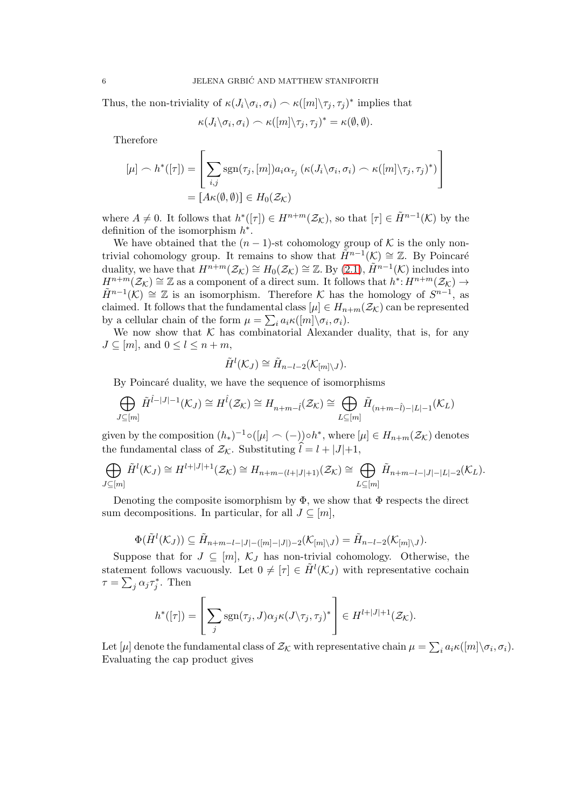Thus, the non-triviality of  $\kappa(J_i \backslash \sigma_i, \sigma_i) \sim \kappa([m] \backslash \tau_j, \tau_j)^*$  implies that

$$
\kappa(J_i \backslash \sigma_i, \sigma_i) \frown \kappa([m] \backslash \tau_j, \tau_j)^* = \kappa(\emptyset, \emptyset).
$$

Therefore

$$
\begin{aligned} [\mu] \frown h^*([\tau]) &= \left[ \sum_{i,j} \text{sgn}(\tau_j, [m]) a_i \alpha_{\tau_j} \left( \kappa(J_i \backslash \sigma_i, \sigma_i) \frown \kappa([m] \backslash \tau_j, \tau_j)^* \right) \right] \\ &= [A \kappa(\emptyset, \emptyset)] \in H_0(\mathcal{Z}_\mathcal{K}) \end{aligned}
$$

where  $A \neq 0$ . It follows that  $h^*([\tau]) \in H^{n+m}(\mathcal{Z}_{\mathcal{K}})$ , so that  $[\tau] \in \tilde{H}^{n-1}(\mathcal{K})$  by the definition of the isomorphism  $h^*$ .

We have obtained that the  $(n-1)$ -st cohomology group of K is the only nontrivial cohomology group. It remains to show that  $\tilde{H}^{n-1}(\mathcal{K}) \cong \mathbb{Z}$ . By Poincaré duality, we have that  $H^{n+m}(\mathcal{Z}_{\mathcal{K}})\cong H_0(\mathcal{Z}_{\mathcal{K}})\cong \mathbb{Z}$ . By  $(2.1)$ ,  $\widetilde{H}^{n-1}(\mathcal{K})$  includes into  $H^{n+m}(Z_K) \cong \mathbb{Z}$  as a component of a direct sum. It follows that  $h^*: H^{n+m}(Z_K) \to$  $\tilde{H}^{n-1}(\mathcal{K}) \cong \mathbb{Z}$  is an isomorphism. Therefore  $\mathcal K$  has the homology of  $S^{n-1}$ , as claimed. It follows that the fundamental class  $[\mu] \in H_{n+m}(\mathcal{Z}_\mathcal{K})$  can be represented by a cellular chain of the form  $\mu = \sum_i a_i \kappa([m] \backslash \sigma_i, \sigma_i)$ .

We now show that  $K$  has combinatorial Alexander duality, that is, for any  $J \subseteq [m]$ , and  $0 \leq l \leq n+m$ ,

$$
\tilde{H}^l(\mathcal{K}_J) \cong \tilde{H}_{n-l-2}(\mathcal{K}_{[m]\setminus J}).
$$

By Poincaré duality, we have the sequence of isomorphisms

$$
\bigoplus_{J \subseteq [m]} \tilde{H}^{\hat{l}-|J|-1}(\mathcal{K}_J) \cong H^{\hat{l}}(\mathcal{Z}_{\mathcal{K}}) \cong H_{n+m-\hat{l}}(\mathcal{Z}_{\mathcal{K}}) \cong \bigoplus_{L \subseteq [m]} \tilde{H}_{(n+m-\hat{l})-|L|-1}(\mathcal{K}_L)
$$

given by the composition  $(h_*)^{-1} \circ (\mu \subset (-)) \circ h^*$ , where  $[\mu] \in H_{n+m}(\mathcal{Z}_\mathcal{K})$  denotes the fundamental class of  $\mathcal{Z}_{\mathcal{K}}$ . Substituting  $\hat{l} = l + |J|+1$ ,

$$
\bigoplus_{J \subseteq [m]} \tilde{H}^{l}(\mathcal{K}_{J}) \cong H^{l+|J|+1}(\mathcal{Z}_{\mathcal{K}}) \cong H_{n+m-(l+|J|+1)}(\mathcal{Z}_{\mathcal{K}}) \cong \bigoplus_{L \subseteq [m]} \tilde{H}_{n+m-l-|J|-|L|-2}(\mathcal{K}_{L}).
$$

Denoting the composite isomorphism by  $\Phi$ , we show that  $\Phi$  respects the direct sum decompositions. In particular, for all  $J \subseteq [m]$ ,

$$
\Phi(\tilde{H}^l(\mathcal{K}_J)) \subseteq \tilde{H}_{n+m-l-|J|-([m]-|J|)-2}(\mathcal{K}_{[m]\setminus J}) = \tilde{H}_{n-l-2}(\mathcal{K}_{[m]\setminus J}).
$$

Suppose that for  $J \subseteq [m]$ ,  $\mathcal{K}_J$  has non-trivial cohomology. Otherwise, the statement follows vacuously. Let  $0 \neq [\tau] \in \tilde{H}^l(\mathcal{K}_J)$  with representative cochain  $\tau = \sum_j \alpha_j \tau_j^*$ . Then

$$
h^*([\tau]) = \left[\sum_j \text{sgn}(\tau_j, J)\alpha_j \kappa(J\backslash \tau_j, \tau_j)^* \right] \in H^{l+|J|+1}(\mathcal{Z}_\mathcal{K}).
$$

Let  $[\mu]$  denote the fundamental class of  $\mathcal{Z}_{\mathcal{K}}$  with representative chain  $\mu = \sum_i a_i \kappa([m] \setminus \sigma_i, \sigma_i)$ . Evaluating the cap product gives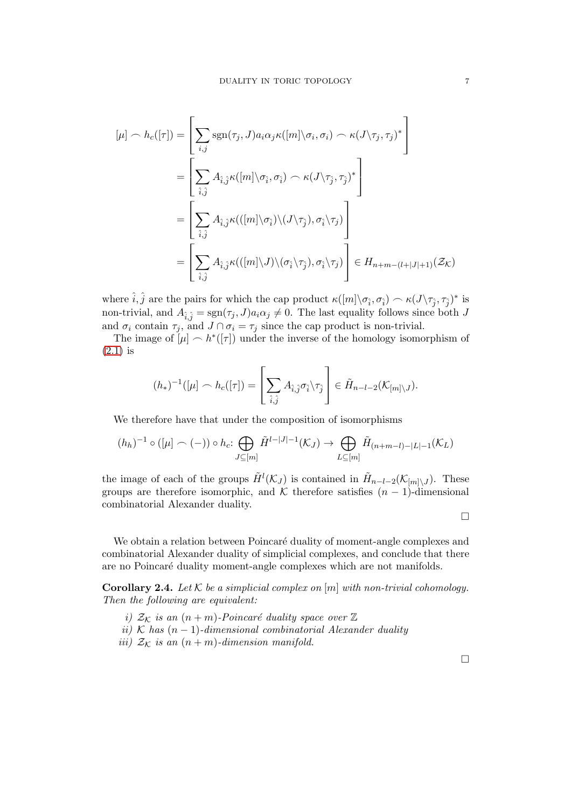$$
[\mu] \frown h_c([\tau]) = \left[ \sum_{i,j} \text{sgn}(\tau_j, J) a_i \alpha_j \kappa([m] \setminus \sigma_i, \sigma_i) \frown \kappa(J \setminus \tau_j, \tau_j)^* \right]
$$
  
\n
$$
= \left[ \sum_{\hat{i}, \hat{j}} A_{\hat{i}, \hat{j}} \kappa([m] \setminus \sigma_{\hat{i}}, \sigma_{\hat{i}}) \frown \kappa(J \setminus \tau_{\hat{j}}, \tau_j)^* \right]
$$
  
\n
$$
= \left[ \sum_{\hat{i}, \hat{j}} A_{\hat{i}, \hat{j}} \kappa(([m] \setminus \sigma_{\hat{i}}) \setminus (J \setminus \tau_j), \sigma_{\hat{i}} \setminus \tau_j) \right]
$$
  
\n
$$
= \left[ \sum_{\hat{i}, \hat{j}} A_{\hat{i}, \hat{j}} \kappa(([m] \setminus J) \setminus (\sigma_{\hat{i}} \setminus \tau_j), \sigma_{\hat{i}} \setminus \tau_j) \right] \in H_{n+m-(l+|J|+1)}(\mathcal{Z}_\mathcal{K})
$$

where  $\hat{i}, \hat{j}$  are the pairs for which the cap product  $\kappa([m]\setminus\sigma_{\hat{i}}, \sigma_{\hat{i}}) \frown \kappa(J\setminus\tau_{\hat{j}}, \tau_{\hat{j}})^*$  is non-trivial, and  $A_{\hat{i},\hat{j}} = \text{sgn}(\tau_j, J)a_i\alpha_j \neq 0$ . The last equality follows since both J and  $\sigma_i$  contain  $\tau_j$ , and  $J \cap \sigma_i = \tau_j$  since the cap product is non-trivial.

The image of  $[\mu] \sim h^*([\tau])$  under the inverse of the homology isomorphism of  $(2.1)$  is

$$
(h_*)^{-1}([\mu] \frown h_c([\tau]) = \left[\sum_{\hat{i},\hat{j}} A_{\hat{i},\hat{j}} \sigma_{\hat{i}} \setminus \tau_{\hat{j}}\right] \in \tilde{H}_{n-l-2}(\mathcal{K}_{[m] \setminus J}).
$$

We therefore have that under the composition of isomorphisms

$$
(h_h)^{-1} \circ ([\mu] \frown (-)) \circ h_c \colon \bigoplus_{J \subseteq [m]} \tilde{H}^{l-|J|-1}(\mathcal{K}_J) \to \bigoplus_{L \subseteq [m]} \tilde{H}_{(n+m-l)-|L|-1}(\mathcal{K}_L)
$$

the image of each of the groups  $\tilde{H}^{l}(\mathcal{K}_{J})$  is contained in  $\tilde{H}_{n-l-2}(\mathcal{K}_{[m]\setminus J})$ . These groups are therefore isomorphic, and K therefore satisfies  $(n-1)$ -dimensional combinatorial Alexander duality.

$$
\Box
$$

We obtain a relation between Poincaré duality of moment-angle complexes and combinatorial Alexander duality of simplicial complexes, and conclude that there are no Poincaré duality moment-angle complexes which are not manifolds.

**Corollary 2.4.** Let K be a simplicial complex on  $[m]$  with non-trivial cohomology. Then the following are equivalent:

- i)  $\mathcal{Z}_\mathcal{K}$  is an  $(n+m)$ -Poincaré duality space over  $\mathbb Z$
- ii) K has  $(n-1)$ -dimensional combinatorial Alexander duality
- iii)  $Z_K$  is an  $(n + m)$ -dimension manifold.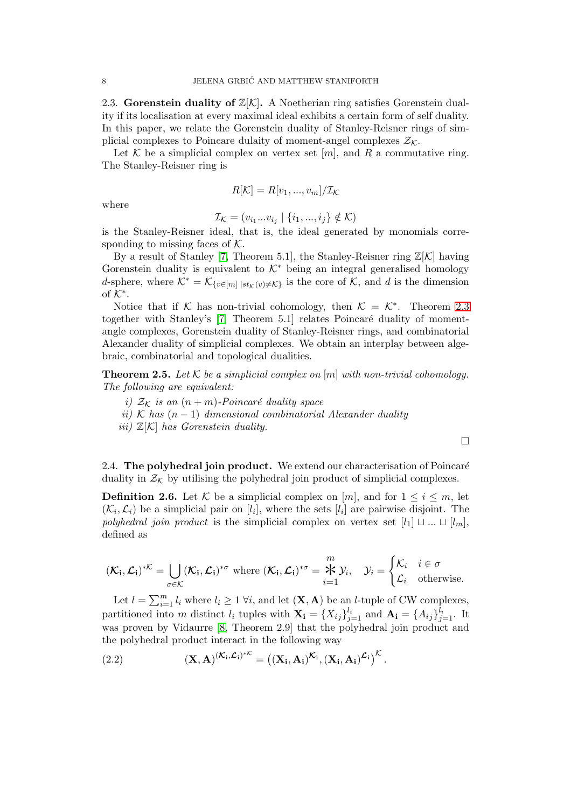2.3. Gorenstein duality of  $\mathbb{Z}[\mathcal{K}]$ . A Noetherian ring satisfies Gorenstein duality if its localisation at every maximal ideal exhibits a certain form of self duality. In this paper, we relate the Gorenstein duality of Stanley-Reisner rings of simplicial complexes to Poincare dulaity of moment-angel complexes  $\mathcal{Z}_K$ .

Let K be a simplicial complex on vertex set [m], and R a commutative ring. The Stanley-Reisner ring is

$$
R[\mathcal{K}] = R[v_1, ..., v_m]/\mathcal{I_K}
$$

where

$$
\mathcal{I_K} = (v_{i_1}...v_{i_j} \mid \{i_1, ..., i_j\} \notin \mathcal{K})
$$

is the Stanley-Reisner ideal, that is, the ideal generated by monomials corresponding to missing faces of  $K$ .

By a result of Stanley [\[7,](#page-9-3) Theorem 5.1], the Stanley-Reisner ring  $\mathbb{Z}[\mathcal{K}]$  having Gorenstein duality is equivalent to  $K^*$  being an integral generalised homology d-sphere, where  $\mathcal{K}^* = \mathcal{K}_{\{v \in [m] \mid st_{\mathcal{K}}(v) \neq \mathcal{K}\}}$  is the core of  $\mathcal{K}$ , and d is the dimension of  $\mathcal{K}^*$ .

Notice that if K has non-trivial cohomology, then  $\mathcal{K} = \mathcal{K}^*$ . Theorem [2.3](#page-4-0) together with Stanley's  $[7,$  Theorem 5.1 relates Poincaré duality of momentangle complexes, Gorenstein duality of Stanley-Reisner rings, and combinatorial Alexander duality of simplicial complexes. We obtain an interplay between algebraic, combinatorial and topological dualities.

<span id="page-7-0"></span>**Theorem 2.5.** Let K be a simplicial complex on  $[m]$  with non-trivial cohomology. The following are equivalent:

- i)  $\mathcal{Z}_\mathcal{K}$  is an  $(n+m)$ -Poincaré duality space
- ii) K has  $(n-1)$  dimensional combinatorial Alexander duality
- iii)  $\mathbb{Z}[\mathcal{K}]$  has Gorenstein duality.

 $\Box$ 

2.4. The polyhedral join product. We extend our characterisation of Poincaré duality in  $\mathcal{Z}_\mathcal{K}$  by utilising the polyhedral join product of simplicial complexes.

**Definition 2.6.** Let K be a simplicial complex on [m], and for  $1 \leq i \leq m$ , let  $(\mathcal{K}_i, \mathcal{L}_i)$  be a simplicial pair on  $[l_i]$ , where the sets  $[l_i]$  are pairwise disjoint. The polyhedral join product is the simplicial complex on vertex set  $[l_1] \sqcup ... \sqcup [l_m]$ , defined as

$$
(\mathcal{K}_{\mathbf{i}}, \mathcal{L}_{\mathbf{i}})^{*\mathcal{K}} = \bigcup_{\sigma \in \mathcal{K}} (\mathcal{K}_{\mathbf{i}}, \mathcal{L}_{\mathbf{i}})^{*\sigma} \text{ where } (\mathcal{K}_{\mathbf{i}}, \mathcal{L}_{\mathbf{i}})^{*\sigma} = \overset{m}{\underset{i=1}{\star}} \mathcal{Y}_i, \quad \mathcal{Y}_i = \begin{cases} \mathcal{K}_i & i \in \sigma \\ \mathcal{L}_i & \text{otherwise.} \end{cases}
$$

Let  $l = \sum_{i=1}^{m} l_i$  where  $l_i \geq 1$   $\forall i$ , and let  $(\mathbf{X}, \mathbf{A})$  be an *l*-tuple of CW complexes, partitioned into m distinct  $l_i$  tuples with  $\mathbf{X_i} = \{X_{ij}\}_{j=1}^{l_i}$  and  $\mathbf{A_i} = \{A_{ij}\}_{j=1}^{l_i}$ . It was proven by Vidaurre [\[8,](#page-9-5) Theorem 2.9] that the polyhedral join product and the polyhedral product interact in the following way

<span id="page-7-1"></span>(2.2) 
$$
(\mathbf{X}, \mathbf{A})^{(\mathcal{K}_i, \mathcal{L}_i)^{* \mathcal{K}}} = ((\mathbf{X}_i, \mathbf{A}_i)^{\mathcal{K}_i}, (\mathbf{X}_i, \mathbf{A}_i)^{\mathcal{L}_i})^{\mathcal{K}}.
$$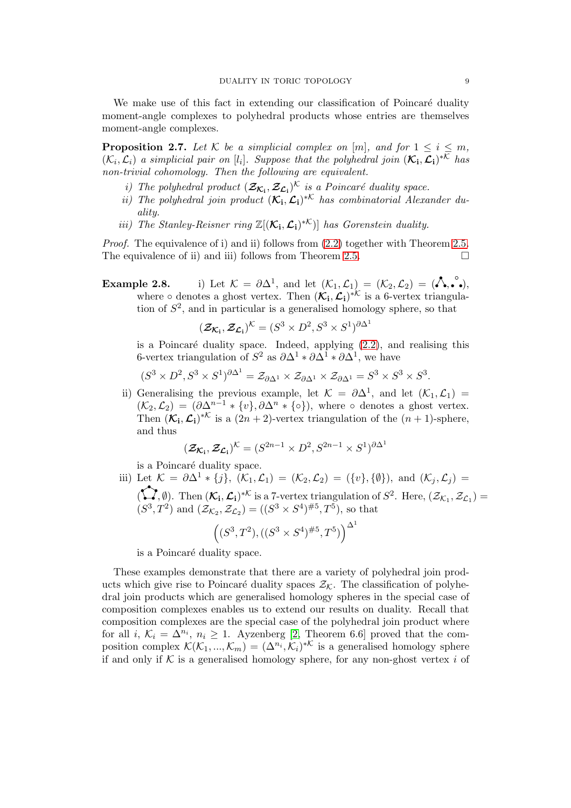We make use of this fact in extending our classification of Poincaré duality moment-angle complexes to polyhedral products whose entries are themselves moment-angle complexes.

<span id="page-8-0"></span>**Proposition 2.7.** Let K be a simplicial complex on [m], and for  $1 \leq i \leq m$ ,  $(\mathcal{K}_i, \mathcal{L}_i)$  a simplicial pair on [l<sub>i</sub>]. Suppose that the polyhedral join  $(\mathcal{K}_i, \mathcal{L}_i)^{*\mathcal{K}}$  has non-trivial cohomology. Then the following are equivalent.

- i) The polyhedral product  $(\mathcal{Z}_{\mathcal{K}_i}, \mathcal{Z}_{\mathcal{L}_i})^{\mathcal{K}}$  is a Poincaré duality space.
- ii) The polyhedral join product  $(\mathcal{K}_i, \mathcal{L}_i)^*$  has combinatorial Alexander duality.
- iii) The Stanley-Reisner ring  $\mathbb{Z}[(\mathcal{K}_i, \mathcal{L}_i)^{*\mathcal{K}}]$  has Gorenstein duality.

Proof. The equivalence of i) and ii) follows from  $(2.2)$  together with Theorem [2.5.](#page-7-0) The equivalence of ii) and iii) follows from Theorem [2.5.](#page-7-0)  $\Box$ 

**Example 2.8.** i) Let  $\mathcal{K} = \partial \Delta^1$ , and let  $(\mathcal{K}_1, \mathcal{L}_1) = (\mathcal{K}_2, \mathcal{L}_2) = (\lambda, \lambda, \lambda)$ , where  $\circ$  denotes a ghost vertex. Then  $(\mathcal{K}_i, \mathcal{L}_i)^*$  is a 6-vertex triangulation of  $S^2$ , and in particular is a generalised homology sphere, so that

$$
(\mathcal{Z}_{\mathcal{K}_{\mathbf{i}}}, \mathcal{Z}_{\mathcal{L}_{\mathbf{i}}})^{\mathcal{K}} = (S^3 \times D^2, S^3 \times S^1)^{\partial \Delta^1}
$$

is a Poincaré duality space. Indeed, applying  $(2.2)$ , and realising this 6-vertex triangulation of  $S^2$  as  $\partial \Delta^1 * \partial \Delta^1 * \partial \Delta^1$ , we have

$$
(S^3 \times D^2, S^3 \times S^1)^{\partial \Delta^1} = \mathcal{Z}_{\partial \Delta^1} \times \mathcal{Z}_{\partial \Delta^1} \times \mathcal{Z}_{\partial \Delta^1} = S^3 \times S^3 \times S^3.
$$

ii) Generalising the previous example, let  $\mathcal{K} = \partial \Delta^1$ , and let  $(\mathcal{K}_1, \mathcal{L}_1) =$  $(\mathcal{K}_2,\mathcal{L}_2) = (\partial \Delta^{n-1} * \{v\}, \partial \Delta^n * \{\circ\}),$  where  $\circ$  denotes a ghost vertex. Then  $(\mathcal{K}_i, \mathcal{L}_i)^*$  is a  $(2n + 2)$ -vertex triangulation of the  $(n + 1)$ -sphere, and thus

$$
(\mathcal{Z}_{\mathcal{K}_{\mathbf{i}}},\mathcal{Z}_{\mathcal{L}_{\mathbf{i}}})^{\mathcal{K}}=(S^{2n-1}\times D^2,S^{2n-1}\times S^1)^{\partial\Delta^1}
$$

is a Poincaré duality space.

iii) Let  $\mathcal{K} = \partial \Delta^1 * \{j\}, \ (\mathcal{K}_1, \mathcal{L}_1) = (\mathcal{K}_2, \mathcal{L}_2) = (\{v\}, \{\emptyset\}), \text{ and } (\mathcal{K}_i, \mathcal{L}_i) =$  $(\mathbf{L}', \emptyset)$ . Then  $(\mathcal{K}_i, \mathcal{L}_i)^{*\mathcal{K}}$  is a 7-vertex triangulation of  $S^2$ . Here,  $(\mathcal{Z}_{\mathcal{K}_1}, \mathcal{Z}_{\mathcal{L}_1})$  $(S^3, T^2)$  and  $(\mathcal{Z}_{\mathcal{K}_2}, \mathcal{Z}_{\mathcal{L}_2}) = ((S^3 \times S^4)^{\#5}, T^5)$ , so that  $\left( (S^3, T^2), ((S^3 \times S^4)^{\#5}, T^5) \right)^{\Delta^1}$ 

is a Poincaré duality space.

These examples demonstrate that there are a variety of polyhedral join products which give rise to Poincaré duality spaces  $\mathcal{Z}_K$ . The classification of polyhedral join products which are generalised homology spheres in the special case of composition complexes enables us to extend our results on duality. Recall that composition complexes are the special case of the polyhedral join product where for all *i*,  $\mathcal{K}_i = \Delta^{n_i}$ ,  $n_i \geq 1$ . Ayzenberg [\[2,](#page-9-7) Theorem 6.6] proved that the composition complex  $\mathcal{K}(\mathcal{K}_1, ..., \mathcal{K}_m) = (\Delta^{n_i}, \mathcal{K}_i)^{*\mathcal{K}}$  is a generalised homology sphere if and only if  $K$  is a generalised homology sphere, for any non-ghost vertex i of